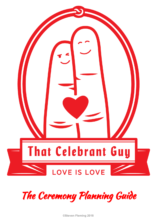



**©Steven Fleming 2018**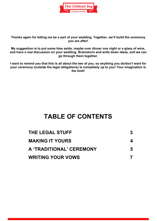

**Thanks again for letting me be a part of your wedding. Together, we'll build the ceremony you are after!**

**My suggestion is to put some time aside, maybe over dinner one night or a glass of wine, and have a real discussion on your wedding. Brainstorm and write down ideas, and we can go through them together.**

**I want to remind you that this is all about the two of you, so anything you do/don't want for your ceremony (outside the legal obligations) is completely up to you! Your imagination is the limit!**

### **TABLE OF CONTENTS**

| <b>THE LEGAL STUFF</b>   |    |
|--------------------------|----|
| <b>MAKING IT YOURS</b>   | 4  |
| A 'TRADITIONAL' CEREMONY | 5. |
| <b>WRITING YOUR VOWS</b> |    |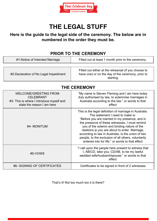

# **THE LEGAL STUFF**

#### <span id="page-2-0"></span>**Here is the guide to the legal side of the ceremony. The below are in numbered in the order they must be.**

#### **PRIOR TO THE CEREMONY**

| #1-Notice of Intended Marriage        | Filled out at least 1 month prior to the ceremony.                                                                     |
|---------------------------------------|------------------------------------------------------------------------------------------------------------------------|
|                                       |                                                                                                                        |
| #2-Declaration of No Legal Impediment | Filled out either at the rehearsal (if you choose to<br>have one) or on the day of the ceremony, prior to<br>starting. |

| <b>WELCOME/GREETING FROM</b><br><b>CELEBRANT</b><br>#3- This is where I introduce myself and<br>state the reason I am here | "My name is Steven Fleming and I am here today<br>duly authorised by law, to solemnise marriages in<br>Australia according to the law." or words to that<br>effect                                                                                                                                                                                                                                                                                              |
|----------------------------------------------------------------------------------------------------------------------------|-----------------------------------------------------------------------------------------------------------------------------------------------------------------------------------------------------------------------------------------------------------------------------------------------------------------------------------------------------------------------------------------------------------------------------------------------------------------|
| #4- MONITUM                                                                                                                | This is the legal definition of marriage in Australia.<br>The statement I need to make is:<br>"Before you are married in my presence, and in<br>the presence of these witnesses, I must remind<br>you of the solemn and binding nature of the<br>relations ip you are about to enter. Marriage,<br>according to law in Australia, is the union of two<br>people, to the exclusion of all others, voluntarily<br>entered into for life." or words to that effect |
| #5-VOWS                                                                                                                    | "I call upon the people here present to witness that<br>I, AB/CD, take you, CD/AB, to be my lawful<br>wedded wife/husband/spouse." or words to that<br>effect                                                                                                                                                                                                                                                                                                   |
| #6- SIGNING OF CERTIFICATES                                                                                                | Certificates to be signed in front of 2 witnesses                                                                                                                                                                                                                                                                                                                                                                                                               |

### **THE CEREMONY**

That's it! Not too much too it is there?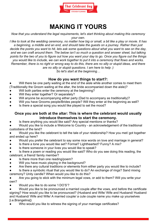

## **MAKING IT YOURS**

<span id="page-3-0"></span>*Now that you understand the legal requirements, let's start thinking about making this ceremony your own.*

*I like to look at the wedding ceremony, no matter how big or small, a bit like a play or movie. It has a beginning, a middle and an end, and should take the guests on a journey. Rather than just decide the points you want to hit, lets ask some questions about what you want to see on the day, and we can craft around them. The below isn't so much a question and answer sheet, but talking points for the two of you to figure out how you want your day to go. Once you figure out the things you would like to include, we can work together to put it into a ceremony that flows and works. Remember, there is no right or wrong way to do this, there are no silly or stupid ideas, and there are no silly or stupid questions. I am here to help :)*

*So let's start at the beginning…*

#### **How do you want things to start?:**

Will there be one party waiting at the end of the aisle while another comes to meet them (Traditionally the Groom waiting at the altar, the bride accompanied down the aisle)?

- Will both parties enter the ceremony at the beginning?
- Will they enter together? Or separately?
- Will anyone be accompanying either party (Dad to accompany as traditionally)?
- Will you have Grooms people/Brides people? Will they enter at the beginning as well?
- Is there a special song you would like played to set the mood?

#### **Once you are both at the altar: This is where the celebrant would usually introduce themselves to start the ceremony.**

Is there anything you would like said? Any special mentions or thanks?

Would you like to include a Welcome to Country - an acknowledgement of the traditional custodians of the land?

Would you like the celebrant to tell the tale of your relationship? How you met/ got together and ended up here?

- Would you prefer the celebrant to say some nice words on love and marriage in general?
- Is there a tone you would like set? Formal? Lighthearted? Funny? A mix?
- Is there someone in your lives you would like to speak?

Is there a poem or reading you would like said? Who do you see doing this reading, the celebrant, a friend/ family member?

- Is there more than one reading/poem?
- Will you have music playing in the background?
- Are there any cultural traditions or elements from either party you would like to include?

Is there a symbolic ritual that you would like to do? An exchange of rings? Sand mixing ceremony? Unity candle? When would you like to do this?

Are you going to stick with the minimum legal vows, or add to them? Will you write your own?

Would you like to do some 'I DO'S'?

Would you like to be pronounced a married couple after the vows, and before the certificate signing? How would you like to be pronounced? (Husband and Wife/ Wife and Husband/ Husband and Husband/ Wife and Wife/ A married couple/ a cute couple name you make up yourselves [i.e.Brangelina])

Who would you like to witness the signing of your marriage certificates?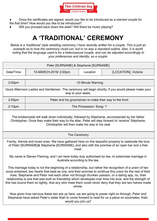

- Once the certificates are signed, would you like to be introduced as a married couple for the first time? How would you like to be introduced?
- <span id="page-4-0"></span>Will you proceed back down the aisle? Will there be music playing?

# **A 'TRADITIONAL' CEREMONY**

*Below is a 'traditional' style wedding ceremony I have recently written for a couple. This is just an example as to how the ceremony could run, but in no way a standard outline. Also, it is worth noting that the language used is for a heterosexual couple, and can be adjusted accordingly to your preferences and identity as a couple.*

| Peter [SURNAME] & Stephanie [SURNAME]                                                                                                                                                                                                                                                                                                                                                                                                                                                                                                                        |                                                        |          |                      |
|--------------------------------------------------------------------------------------------------------------------------------------------------------------------------------------------------------------------------------------------------------------------------------------------------------------------------------------------------------------------------------------------------------------------------------------------------------------------------------------------------------------------------------------------------------------|--------------------------------------------------------|----------|----------------------|
| Date/Time:                                                                                                                                                                                                                                                                                                                                                                                                                                                                                                                                                   | 10-MARCH-2018/2:00pm                                   | Location | [LOCATION], Victoria |
|                                                                                                                                                                                                                                                                                                                                                                                                                                                                                                                                                              |                                                        |          |                      |
| 2:00pm                                                                                                                                                                                                                                                                                                                                                                                                                                                                                                                                                       | 10 Minute Warning                                      |          |                      |
| Good Afternoon Ladies and Gentlemen. The ceremony will begin shortly, if you would please make your<br>way to your seats.                                                                                                                                                                                                                                                                                                                                                                                                                                    |                                                        |          |                      |
| $2:05$ pm                                                                                                                                                                                                                                                                                                                                                                                                                                                                                                                                                    | Peter and his groomsmen to make their way to the front |          |                      |
| 2:10 <sub>pm</sub>                                                                                                                                                                                                                                                                                                                                                                                                                                                                                                                                           | The Procession: Song-?                                 |          |                      |
| The bridesmaids will walk down individually, followed by Stephanie, accompanied by her father<br>Christopher. Once they make their way to the altar, Peter will step forward to 'receive' Stephanie.<br>Christopher will then make his way to his seat                                                                                                                                                                                                                                                                                                       |                                                        |          |                      |
|                                                                                                                                                                                                                                                                                                                                                                                                                                                                                                                                                              | The Ceremony                                           |          |                      |
| Family, friends and loved ones. We have gathered here on this beautiful property to celebrate the love<br>of Peter [SURNAME]& Stephanie [SURNAME], and also with the promise of an open bar and a free<br>meal.                                                                                                                                                                                                                                                                                                                                              |                                                        |          |                      |
| My name is Steven Fleming, and I am here today duly authorised by law, to solemnise marriage in<br>Australia according to the law.                                                                                                                                                                                                                                                                                                                                                                                                                           |                                                        |          |                      |
| This marriage today is not the beginning of a relationship, but rather the recognition of a union of two<br>souls entwined, two hearts that beat as one, and their promise to continue this union for the rest of their<br>lives. Stephanie and Peter met each other not through drunken passion, or a dating app, no, their<br>relationship is one that was built on friendship which developed over time into love, and the strength of<br>this has bound them so tightly, that any who meet them could never deny that they are two halves made<br>whole. |                                                        |          |                      |
| Now given how nervous these two are up here, we are going to power right on through. Peter and<br>Stephanie have asked Peter's sister Kiah to come forward to read for us a piece on soulmates. Kiah,<br>would you join us?                                                                                                                                                                                                                                                                                                                                  |                                                        |          |                      |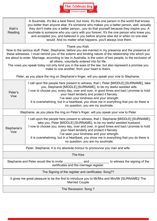

| Kiah's<br>Reading                                                                                                                                                                                                                                                                                                                                                                                                                                                                                                                                              | A Soulmate. It's like a best friend, but more. It's the one person in the world that knows<br>you better than anyone else. It's someone who makes you a better person, well, actually<br>they don't make you a better personyou do that yourself because they inspire you. A<br>soulmate is someone who you carry with you forever. It's the one person who knew you,<br>and accepted you, and believed in you before anyone else did or when no one else<br>would. And no matter what happensyou'll always love them. |  |  |
|----------------------------------------------------------------------------------------------------------------------------------------------------------------------------------------------------------------------------------------------------------------------------------------------------------------------------------------------------------------------------------------------------------------------------------------------------------------------------------------------------------------------------------------------------------------|------------------------------------------------------------------------------------------------------------------------------------------------------------------------------------------------------------------------------------------------------------------------------------------------------------------------------------------------------------------------------------------------------------------------------------------------------------------------------------------------------------------------|--|--|
| Thank you Kiah.<br>Now to the serious stuff. Peter, Stephanie, before you are married in my presence and the presence of<br>these witnesses, I must remind you of the solemn and binding nature of the relationship into which you<br>are about to enter. Marriage, according to law in Australia, is the union of two people, to the exclusion of<br>all others, voluntarily entered into for life.<br>The vows you speak today not only bind you in the eyes of the law, but also represent a promise you<br>make to one another, from your heart to theirs. |                                                                                                                                                                                                                                                                                                                                                                                                                                                                                                                        |  |  |
| Peter, as you place the ring on Stephanie's finger, will you speak your vow to Stephanie.                                                                                                                                                                                                                                                                                                                                                                                                                                                                      |                                                                                                                                                                                                                                                                                                                                                                                                                                                                                                                        |  |  |
| Peter's<br>Vow                                                                                                                                                                                                                                                                                                                                                                                                                                                                                                                                                 | I call upon the people here present to witness, that I, Peter [MIDDLE] [SURNAME], take<br>you, Stephanie [MIDDLE] [SURNAME], to be my lawful wedded wife.<br>I vow to choose you, every day, over and over, in good times and bad.I promise to hold<br>your heart tenderly and protect it fiercely.<br>I've seen your kindness and your strength.<br>It is overwhelming, but in a heartbeat, you show me in everything that you do there is<br>no question, you are my soulmate.                                       |  |  |
|                                                                                                                                                                                                                                                                                                                                                                                                                                                                                                                                                                | Stephanie, as you place the ring on Peter's finger, will you speak your vow to Peter                                                                                                                                                                                                                                                                                                                                                                                                                                   |  |  |
| Stephanie's<br>Vow                                                                                                                                                                                                                                                                                                                                                                                                                                                                                                                                             | I call upon the people here present to witness, that I, Stephanie [MIDDLE] [SURNAME],<br>take you, Peter [MIDDLE] [SURNAME], to be my lawful wedded husband.<br>I vow to choose you, every day, over and over, in good times and bad.I promise to hold<br>your heart tenderly and protect it fiercely.<br>I've seen your kindness and your strength.<br>It is overwhelming, but in a heartbeat, you show me in everything that you do there is<br>no question, you are my soulmate.                                    |  |  |
|                                                                                                                                                                                                                                                                                                                                                                                                                                                                                                                                                                | Peter, Stephanie, it is my absolute honour to pronounce you man and wife.                                                                                                                                                                                                                                                                                                                                                                                                                                              |  |  |
|                                                                                                                                                                                                                                                                                                                                                                                                                                                                                                                                                                | <b>The Kiss</b>                                                                                                                                                                                                                                                                                                                                                                                                                                                                                                        |  |  |
| _ to witness the signing of the<br>certificates and the marriage register.                                                                                                                                                                                                                                                                                                                                                                                                                                                                                     |                                                                                                                                                                                                                                                                                                                                                                                                                                                                                                                        |  |  |
|                                                                                                                                                                                                                                                                                                                                                                                                                                                                                                                                                                | The Signing of the register and certificates: Song??                                                                                                                                                                                                                                                                                                                                                                                                                                                                   |  |  |
| It gives me great pleasure to be the first to introduce you to Mr/Mrs and Mrs/Mr [SURNAME]/ The<br><b>Married Couple</b>                                                                                                                                                                                                                                                                                                                                                                                                                                       |                                                                                                                                                                                                                                                                                                                                                                                                                                                                                                                        |  |  |
| The Recession: Song?                                                                                                                                                                                                                                                                                                                                                                                                                                                                                                                                           |                                                                                                                                                                                                                                                                                                                                                                                                                                                                                                                        |  |  |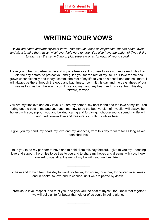

# **WRITING YOUR VOWS**

<span id="page-6-0"></span>*Below are some different styles of vows. You can use these as inspiration, cut and paste, swap and steal to take them as is, whichever feels right for you. You also have the option of if you'd like to each say the same thing or pick seperate ones for each of you to speak.*

 $\frac{1}{2}$ 

I take you to be my partner in life and my one true love. I promise to love you more each day than I did the day before, to protect you and guide you for the rest of my life. Your love for me has grown unconditionally and today I commit the rest of my life to you as a best friend and soulmate. I will always be there through the good and bad times, I commit this day and the days ahead of our lives as long as I am here with you. I give you my hand, my heart and my love, from this day forward, forever.

You are my first love and only love. You are my person, my best friend and the love of my life. You bring out the best in me and you teach me how to be the best version of myself. I will always be honest with you, support you and be kind, caring and forgiving. I choose you to spend my life with and I will forever love and treasure you with my whole heart.

 $\frac{1}{2}$ 

I give you my hand, my heart, my love and my kindness, from this day forward for as long as we both shall live

 $\frac{1}{2}$  ,  $\frac{1}{2}$  ,  $\frac{1}{2}$  ,  $\frac{1}{2}$  ,  $\frac{1}{2}$  ,  $\frac{1}{2}$  ,  $\frac{1}{2}$ 

 $\frac{1}{2}$  ,  $\frac{1}{2}$  ,  $\frac{1}{2}$  ,  $\frac{1}{2}$  ,  $\frac{1}{2}$  ,  $\frac{1}{2}$  ,  $\frac{1}{2}$ 

I take you to be my partner; to have and to hold, from this day forward. I give to you my unending love and support. I promise to be true to you and to share my hopes and dreams with you. I look forward to spending the rest of my life with you, my best friend.

to have and to hold from this day forward, for better, for worse, for richer, for poorer, in sickness and in health, to love and to cherish, until we are parted by death.

 $\frac{1}{2}$  ,  $\frac{1}{2}$  ,  $\frac{1}{2}$  ,  $\frac{1}{2}$  ,  $\frac{1}{2}$  ,  $\frac{1}{2}$  ,  $\frac{1}{2}$ 

I promise to love, respect, and trust you, and give you the best of myself, for I know that together we will build a life far better than either of us could imagine alone.

 $\frac{1}{2}$ 

 $\frac{1}{2}$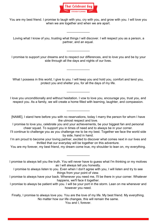

You are my best friend. I promise to laugh with you, cry with you, and grow with you. I will love you when we are together and when we are apart.

 Loving what I know of you, trusting what things I will discover. I will respect you as a person, a partner, and an equal.

 $\frac{1}{2}$  ,  $\frac{1}{2}$  ,  $\frac{1}{2}$  ,  $\frac{1}{2}$  ,  $\frac{1}{2}$  ,  $\frac{1}{2}$  ,  $\frac{1}{2}$ 

 $\frac{1}{2}$  ,  $\frac{1}{2}$  ,  $\frac{1}{2}$  ,  $\frac{1}{2}$  ,  $\frac{1}{2}$  ,  $\frac{1}{2}$  ,  $\frac{1}{2}$ 

 I promise to support your dreams and to respect our differences, and to love you and be by your side through all the days and nights of our lives.

 $\frac{1}{2}$ 

What I possess in this world, I give to you. I will keep you and hold you, comfort and tend you, protect you and shelter you, for all the days of my life.

I love you unconditionally and without hesitation. I vow to love you, encourage you, trust you, and respect you. As a family, we will create a home filled with learning, laughter, and compassion.

 $\frac{1}{2}$ 

 $\frac{1}{2}$ 

[NAME], I stand here before you with no reservations, today I marry the person for whom I have the utmost respect and love.

I promise to love you, celebrate you and your achievements, be your biggest fan and personal cheer squad. To support you in times of need and to always be in your corner.

- I'll continue to challenge you as you challenge me to be my best. Together we face the world side by side, hand in hand.
- I'm am proud to become your loving partner, excited to discover what comes next in our lives and thrilled that our everyday will be together on this adventure.

You are my forever, my best friend, my dream come true, my shoulder to lean on, my everything.

 $\frac{1}{2}$  ,  $\frac{1}{2}$  ,  $\frac{1}{2}$  ,  $\frac{1}{2}$  ,  $\frac{1}{2}$  ,  $\frac{1}{2}$  ,  $\frac{1}{2}$ 

I promise to always tell you the truth. You will never have to guess what I'm thinking or my motives as I will always tell you honestly.

- I promise to always listen to you. Even when I don't agree with you, I will listen and try to see things from your point of view.
- I promise to always have your back. Whenever you need me, I'll be there in your corner. Whatever happens, we'll face it together.
- I promise to always be patient with you. I will be your port in the storm. Lean on me whenever and however you need.

Finally, I promise to always love you. You are the love of my life. My best friend. My everything. No matter how our life changes, this will remain the same.

You and I, forever.